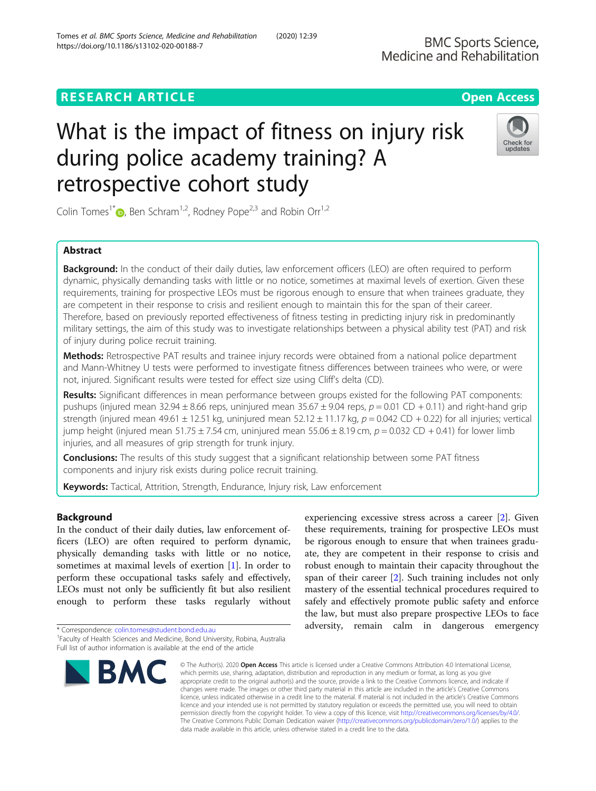# **RESEARCH ARTICLE Example 2014 12:30 The Contract of Contract ACCESS**

# What is the impact of fitness on injury risk during police academy training? A retrospective cohort study

Colin Tomes<sup>1\*</sup>  $\bullet$ , Ben Schram<sup>1,2</sup>, Rodney Pope<sup>2,3</sup> and Robin Orr<sup>1,2</sup>

# Abstract

Background: In the conduct of their daily duties, law enforcement officers (LEO) are often required to perform dynamic, physically demanding tasks with little or no notice, sometimes at maximal levels of exertion. Given these requirements, training for prospective LEOs must be rigorous enough to ensure that when trainees graduate, they are competent in their response to crisis and resilient enough to maintain this for the span of their career. Therefore, based on previously reported effectiveness of fitness testing in predicting injury risk in predominantly military settings, the aim of this study was to investigate relationships between a physical ability test (PAT) and risk of injury during police recruit training.

Methods: Retrospective PAT results and trainee injury records were obtained from a national police department and Mann-Whitney U tests were performed to investigate fitness differences between trainees who were, or were not, injured. Significant results were tested for effect size using Cliff's delta (CD).

Results: Significant differences in mean performance between groups existed for the following PAT components: pushups (injured mean 32.94  $\pm$  8.66 reps, uninjured mean 35.67  $\pm$  9.04 reps,  $p = 0.01$  CD + 0.11) and right-hand grip strength (injured mean 49.61  $\pm$  12.51 kg, uninjured mean 52.12  $\pm$  11.17 kg,  $p = 0.042$  CD + 0.22) for all injuries; vertical jump height (injured mean  $51.75 \pm 7.54$  cm, uninjured mean  $55.06 \pm 8.19$  cm,  $p = 0.032$  CD + 0.41) for lower limb injuries, and all measures of grip strength for trunk injury.

**Conclusions:** The results of this study suggest that a significant relationship between some PAT fitness components and injury risk exists during police recruit training.

Keywords: Tactical, Attrition, Strength, Endurance, Injury risk, Law enforcement

## Background

In the conduct of their daily duties, law enforcement officers (LEO) are often required to perform dynamic, physically demanding tasks with little or no notice, sometimes at maximal levels of exertion [[1\]](#page-7-0). In order to perform these occupational tasks safely and effectively, LEOs must not only be sufficiently fit but also resilient enough to perform these tasks regularly without

\* Correspondence: [colin.tomes@student.bond.edu.au](mailto:colin.tomes@student.bond.edu.au) <sup>1</sup>



experiencing excessive stress across a career [[2\]](#page-7-0). Given these requirements, training for prospective LEOs must be rigorous enough to ensure that when trainees graduate, they are competent in their response to crisis and robust enough to maintain their capacity throughout the span of their career [\[2](#page-7-0)]. Such training includes not only mastery of the essential technical procedures required to safely and effectively promote public safety and enforce the law, but must also prepare prospective LEOs to face adversity, remain calm in dangerous emergency



**BMC Sports Science,** 

**BMC** 

<sup>&</sup>lt;sup>1</sup> Faculty of Health Sciences and Medicine, Bond University, Robina, Australia Full list of author information is available at the end of the article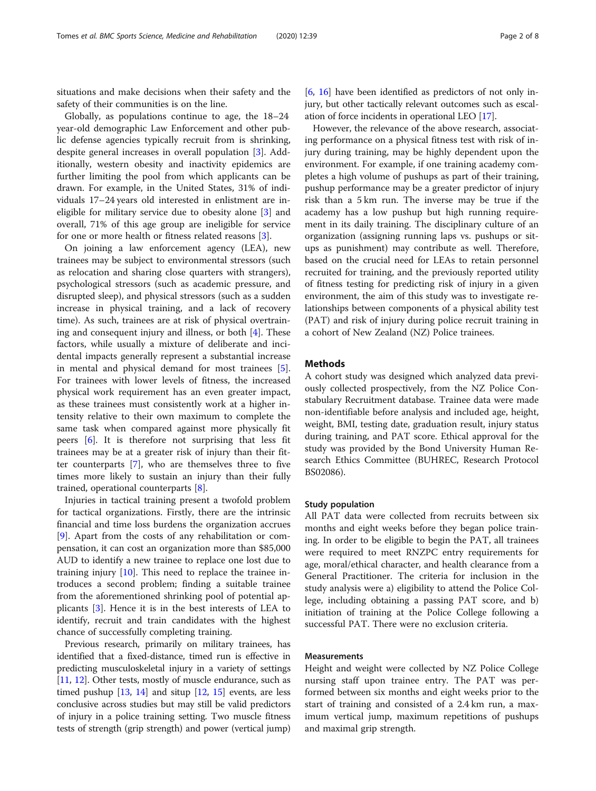situations and make decisions when their safety and the safety of their communities is on the line.

Globally, as populations continue to age, the 18–24 year-old demographic Law Enforcement and other public defense agencies typically recruit from is shrinking, despite general increases in overall population [[3\]](#page-7-0). Additionally, western obesity and inactivity epidemics are further limiting the pool from which applicants can be drawn. For example, in the United States, 31% of individuals 17–24 years old interested in enlistment are ineligible for military service due to obesity alone [[3\]](#page-7-0) and overall, 71% of this age group are ineligible for service for one or more health or fitness related reasons [\[3](#page-7-0)].

On joining a law enforcement agency (LEA), new trainees may be subject to environmental stressors (such as relocation and sharing close quarters with strangers), psychological stressors (such as academic pressure, and disrupted sleep), and physical stressors (such as a sudden increase in physical training, and a lack of recovery time). As such, trainees are at risk of physical overtraining and consequent injury and illness, or both [[4\]](#page-7-0). These factors, while usually a mixture of deliberate and incidental impacts generally represent a substantial increase in mental and physical demand for most trainees [\[5](#page-7-0)]. For trainees with lower levels of fitness, the increased physical work requirement has an even greater impact, as these trainees must consistently work at a higher intensity relative to their own maximum to complete the same task when compared against more physically fit peers [[6](#page-7-0)]. It is therefore not surprising that less fit trainees may be at a greater risk of injury than their fitter counterparts [[7\]](#page-7-0), who are themselves three to five times more likely to sustain an injury than their fully trained, operational counterparts [\[8](#page-7-0)].

Injuries in tactical training present a twofold problem for tactical organizations. Firstly, there are the intrinsic financial and time loss burdens the organization accrues [[9\]](#page-7-0). Apart from the costs of any rehabilitation or compensation, it can cost an organization more than \$85,000 AUD to identify a new trainee to replace one lost due to training injury [[10\]](#page-7-0). This need to replace the trainee introduces a second problem; finding a suitable trainee from the aforementioned shrinking pool of potential applicants [\[3](#page-7-0)]. Hence it is in the best interests of LEA to identify, recruit and train candidates with the highest chance of successfully completing training.

Previous research, primarily on military trainees, has identified that a fixed-distance, timed run is effective in predicting musculoskeletal injury in a variety of settings [[11](#page-7-0), [12](#page-7-0)]. Other tests, mostly of muscle endurance, such as timed pushup  $[13, 14]$  $[13, 14]$  $[13, 14]$  $[13, 14]$  and situp  $[12, 15]$  $[12, 15]$  $[12, 15]$  $[12, 15]$  events, are less conclusive across studies but may still be valid predictors of injury in a police training setting. Two muscle fitness tests of strength (grip strength) and power (vertical jump)

[[6,](#page-7-0) [16](#page-7-0)] have been identified as predictors of not only injury, but other tactically relevant outcomes such as escalation of force incidents in operational LEO [[17](#page-7-0)].

However, the relevance of the above research, associating performance on a physical fitness test with risk of injury during training, may be highly dependent upon the environment. For example, if one training academy completes a high volume of pushups as part of their training, pushup performance may be a greater predictor of injury risk than a 5 km run. The inverse may be true if the academy has a low pushup but high running requirement in its daily training. The disciplinary culture of an organization (assigning running laps vs. pushups or situps as punishment) may contribute as well. Therefore, based on the crucial need for LEAs to retain personnel recruited for training, and the previously reported utility of fitness testing for predicting risk of injury in a given environment, the aim of this study was to investigate relationships between components of a physical ability test (PAT) and risk of injury during police recruit training in a cohort of New Zealand (NZ) Police trainees.

### **Methods**

A cohort study was designed which analyzed data previously collected prospectively, from the NZ Police Constabulary Recruitment database. Trainee data were made non-identifiable before analysis and included age, height, weight, BMI, testing date, graduation result, injury status during training, and PAT score. Ethical approval for the study was provided by the Bond University Human Research Ethics Committee (BUHREC, Research Protocol BS02086).

#### Study population

All PAT data were collected from recruits between six months and eight weeks before they began police training. In order to be eligible to begin the PAT, all trainees were required to meet RNZPC entry requirements for age, moral/ethical character, and health clearance from a General Practitioner. The criteria for inclusion in the study analysis were a) eligibility to attend the Police College, including obtaining a passing PAT score, and b) initiation of training at the Police College following a successful PAT. There were no exclusion criteria.

#### Measurements

Height and weight were collected by NZ Police College nursing staff upon trainee entry. The PAT was performed between six months and eight weeks prior to the start of training and consisted of a 2.4 km run, a maximum vertical jump, maximum repetitions of pushups and maximal grip strength.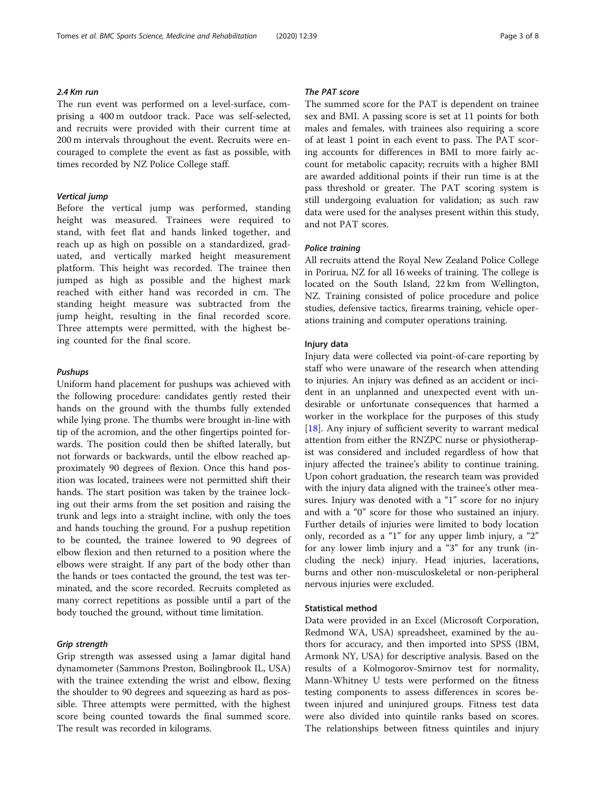### $2.4$  Km run

The run event was performed on a level-surface, comprising a 400 m outdoor track. Pace was self-selected, and recruits were provided with their current time at 200 m intervals throughout the event. Recruits were encouraged to complete the event as fast as possible, with times recorded by NZ Police College staff.

Vertical jump Before the vertical jump was performed, standing height was measured. Trainees were required to stand, with feet flat and hands linked together, and reach up as high on possible on a standardized, graduated, and vertically marked height measurement platform. This height was recorded. The trainee then jumped as high as possible and the highest mark reached with either hand was recorded in cm. The standing height measure was subtracted from the jump height, resulting in the final recorded score. Three attempts were permitted, with the highest being counted for the final score.

Uniform hand placement for pushups was achieved with the following procedure: candidates gently rested their hands on the ground with the thumbs fully extended while lying prone. The thumbs were brought in-line with tip of the acromion, and the other fingertips pointed forwards. The position could then be shifted laterally, but not forwards or backwards, until the elbow reached approximately 90 degrees of flexion. Once this hand position was located, trainees were not permitted shift their hands. The start position was taken by the trainee locking out their arms from the set position and raising the trunk and legs into a straight incline, with only the toes and hands touching the ground. For a pushup repetition to be counted, the trainee lowered to 90 degrees of elbow flexion and then returned to a position where the elbows were straight. If any part of the body other than the hands or toes contacted the ground, the test was terminated, and the score recorded. Recruits completed as many correct repetitions as possible until a part of the body touched the ground, without time limitation.

Grip strength Grip strength was assessed using a Jamar digital hand dynamometer (Sammons Preston, Boilingbrook IL, USA) with the trainee extending the wrist and elbow, flexing the shoulder to 90 degrees and squeezing as hard as possible. Three attempts were permitted, with the highest score being counted towards the final summed score. The result was recorded in kilograms.

#### The PAT score

The summed score for the PAT is dependent on trainee sex and BMI. A passing score is set at 11 points for both males and females, with trainees also requiring a score of at least 1 point in each event to pass. The PAT scoring accounts for differences in BMI to more fairly account for metabolic capacity; recruits with a higher BMI are awarded additional points if their run time is at the pass threshold or greater. The PAT scoring system is still undergoing evaluation for validation; as such raw data were used for the analyses present within this study, and not PAT scores.

#### Police training

All recruits attend the Royal New Zealand Police College in Porirua, NZ for all 16 weeks of training. The college is located on the South Island, 22 km from Wellington, NZ. Training consisted of police procedure and police studies, defensive tactics, firearms training, vehicle operations training and computer operations training.

#### Injury data

Injury data were collected via point-of-care reporting by staff who were unaware of the research when attending to injuries. An injury was defined as an accident or incident in an unplanned and unexpected event with undesirable or unfortunate consequences that harmed a worker in the workplace for the purposes of this study [[18\]](#page-7-0). Any injury of sufficient severity to warrant medical attention from either the RNZPC nurse or physiotherapist was considered and included regardless of how that injury affected the trainee's ability to continue training. Upon cohort graduation, the research team was provided with the injury data aligned with the trainee's other measures. Injury was denoted with a "1" score for no injury and with a "0" score for those who sustained an injury. Further details of injuries were limited to body location only, recorded as a "1" for any upper limb injury, a "2" for any lower limb injury and a "3" for any trunk (including the neck) injury. Head injuries, lacerations, burns and other non-musculoskeletal or non-peripheral nervous injuries were excluded.

#### Statistical method

Data were provided in an Excel (Microsoft Corporation, Redmond WA, USA) spreadsheet, examined by the authors for accuracy, and then imported into SPSS (IBM, Armonk NY, USA) for descriptive analysis. Based on the results of a Kolmogorov-Smirnov test for normality, Mann-Whitney U tests were performed on the fitness testing components to assess differences in scores between injured and uninjured groups. Fitness test data were also divided into quintile ranks based on scores. The relationships between fitness quintiles and injury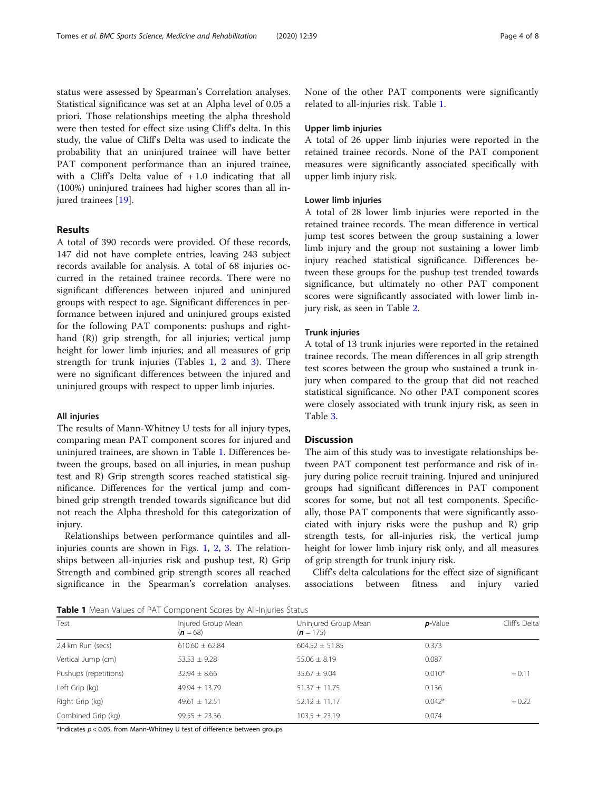status were assessed by Spearman's Correlation analyses. Statistical significance was set at an Alpha level of 0.05 a priori. Those relationships meeting the alpha threshold were then tested for effect size using Cliff's delta. In this study, the value of Cliff's Delta was used to indicate the probability that an uninjured trainee will have better PAT component performance than an injured trainee, with a Cliff's Delta value of  $+1.0$  indicating that all (100%) uninjured trainees had higher scores than all in-jured trainees [[19](#page-7-0)].

#### Results

A total of 390 records were provided. Of these records, 147 did not have complete entries, leaving 243 subject records available for analysis. A total of 68 injuries occurred in the retained trainee records. There were no significant differences between injured and uninjured groups with respect to age. Significant differences in performance between injured and uninjured groups existed for the following PAT components: pushups and righthand (R)) grip strength, for all injuries; vertical jump height for lower limb injuries; and all measures of grip strength for trunk injuries (Tables 1, [2](#page-4-0) and [3\)](#page-4-0). There were no significant differences between the injured and uninjured groups with respect to upper limb injuries.

#### All injuries

The results of Mann-Whitney U tests for all injury types, comparing mean PAT component scores for injured and uninjured trainees, are shown in Table 1. Differences between the groups, based on all injuries, in mean pushup test and R) Grip strength scores reached statistical significance. Differences for the vertical jump and combined grip strength trended towards significance but did not reach the Alpha threshold for this categorization of injury.

Relationships between performance quintiles and allinjuries counts are shown in Figs. [1,](#page-5-0) [2,](#page-5-0) [3](#page-6-0). The relationships between all-injuries risk and pushup test, R) Grip Strength and combined grip strength scores all reached significance in the Spearman's correlation analyses. None of the other PAT components were significantly related to all-injuries risk. Table 1.

#### Upper limb injuries

A total of 26 upper limb injuries were reported in the retained trainee records. None of the PAT component measures were significantly associated specifically with upper limb injury risk.

### Lower limb injuries

A total of 28 lower limb injuries were reported in the retained trainee records. The mean difference in vertical jump test scores between the group sustaining a lower limb injury and the group not sustaining a lower limb injury reached statistical significance. Differences between these groups for the pushup test trended towards significance, but ultimately no other PAT component scores were significantly associated with lower limb injury risk, as seen in Table [2](#page-4-0).

### Trunk injuries

A total of 13 trunk injuries were reported in the retained trainee records. The mean differences in all grip strength test scores between the group who sustained a trunk injury when compared to the group that did not reached statistical significance. No other PAT component scores were closely associated with trunk injury risk, as seen in Table [3.](#page-4-0)

#### **Discussion**

The aim of this study was to investigate relationships between PAT component test performance and risk of injury during police recruit training. Injured and uninjured groups had significant differences in PAT component scores for some, but not all test components. Specifically, those PAT components that were significantly associated with injury risks were the pushup and R) grip strength tests, for all-injuries risk, the vertical jump height for lower limb injury risk only, and all measures of grip strength for trunk injury risk.

Cliff's delta calculations for the effect size of significant associations between fitness and injury varied

Table 1 Mean Values of PAT Component Scores by All-Injuries Status

| Test                  | Injured Group Mean<br>$(n = 68)$ | Uninjured Group Mean<br>$(n = 175)$ | $p$ -Value | Cliff's Delta |  |
|-----------------------|----------------------------------|-------------------------------------|------------|---------------|--|
| 2.4 km Run (secs)     | $610.60 \pm 62.84$               | $604.52 \pm 51.85$                  | 0.373      |               |  |
| Vertical Jump (cm)    | $53.53 + 9.28$                   | $55.06 \pm 8.19$                    | 0.087      |               |  |
| Pushups (repetitions) | $32.94 \pm 8.66$                 | $35.67 \pm 9.04$                    | $0.010*$   | $+0.11$       |  |
| Left Grip (kg)        | $49.94 \pm 13.79$                | $51.37 \pm 11.75$                   | 0.136      |               |  |
| Right Grip (kg)       | $49.61 \pm 12.51$                | $52.12 \pm 11.17$                   | $0.042*$   | $+0.22$       |  |
| Combined Grip (kg)    | $99.55 \pm 23.36$                | $103.5 \pm 23.19$                   | 0.074      |               |  |

\*Indicates  $p < 0.05$ , from Mann-Whitney U test of difference between groups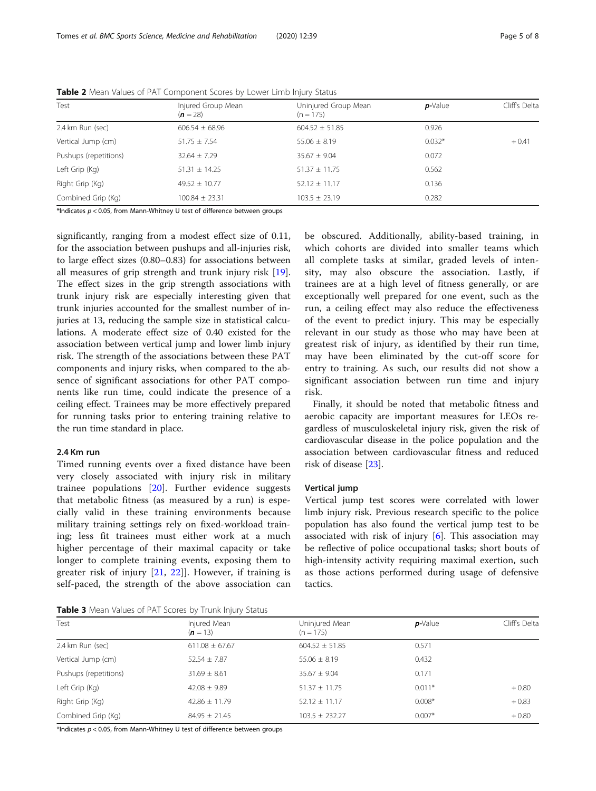| Test                  | Injured Group Mean<br>$(n = 28)$ | Uninjured Group Mean<br>$(n = 175)$ | $p$ -Value | Cliff's Delta |
|-----------------------|----------------------------------|-------------------------------------|------------|---------------|
| 2.4 km Run (sec)      | $606.54 \pm 68.96$               | $604.52 \pm 51.85$                  | 0.926      |               |
| Vertical Jump (cm)    | $51.75 \pm 7.54$                 | $55.06 \pm 8.19$                    | $0.032*$   | $+0.41$       |
| Pushups (repetitions) | $32.64 \pm 7.29$                 | $35.67 \pm 9.04$                    | 0.072      |               |
| Left Grip (Kg)        | $51.31 \pm 14.25$                | $51.37 \pm 11.75$                   | 0.562      |               |
| Right Grip (Kg)       | $49.52 \pm 10.77$                | $52.12 \pm 11.17$                   | 0.136      |               |
| Combined Grip (Kg)    | $100.84 \pm 23.31$               | $103.5 \pm 23.19$                   | 0.282      |               |

<span id="page-4-0"></span>Table 2 Mean Values of PAT Component Scores by Lower Limb Injury Status

\*Indicates  $p < 0.05$ , from Mann-Whitney U test of difference between groups

significantly, ranging from a modest effect size of 0.11, for the association between pushups and all-injuries risk, to large effect sizes (0.80–0.83) for associations between all measures of grip strength and trunk injury risk [\[19](#page-7-0)]. The effect sizes in the grip strength associations with trunk injury risk are especially interesting given that trunk injuries accounted for the smallest number of injuries at 13, reducing the sample size in statistical calculations. A moderate effect size of 0.40 existed for the association between vertical jump and lower limb injury risk. The strength of the associations between these PAT components and injury risks, when compared to the absence of significant associations for other PAT components like run time, could indicate the presence of a ceiling effect. Trainees may be more effectively prepared for running tasks prior to entering training relative to the run time standard in place.

### 2.4 Km run

Timed running events over a fixed distance have been very closely associated with injury risk in military trainee populations [[20\]](#page-7-0). Further evidence suggests that metabolic fitness (as measured by a run) is especially valid in these training environments because military training settings rely on fixed-workload training; less fit trainees must either work at a much higher percentage of their maximal capacity or take longer to complete training events, exposing them to greater risk of injury [[21](#page-7-0), [22\]](#page-7-0)]. However, if training is self-paced, the strength of the above association can be obscured. Additionally, ability-based training, in which cohorts are divided into smaller teams which all complete tasks at similar, graded levels of intensity, may also obscure the association. Lastly, if trainees are at a high level of fitness generally, or are exceptionally well prepared for one event, such as the run, a ceiling effect may also reduce the effectiveness of the event to predict injury. This may be especially relevant in our study as those who may have been at greatest risk of injury, as identified by their run time, may have been eliminated by the cut-off score for entry to training. As such, our results did not show a significant association between run time and injury risk.

Finally, it should be noted that metabolic fitness and aerobic capacity are important measures for LEOs regardless of musculoskeletal injury risk, given the risk of cardiovascular disease in the police population and the association between cardiovascular fitness and reduced risk of disease [\[23\]](#page-7-0).

#### Vertical jump

Vertical jump test scores were correlated with lower limb injury risk. Previous research specific to the police population has also found the vertical jump test to be associated with risk of injury [\[6](#page-7-0)]. This association may be reflective of police occupational tasks; short bouts of high-intensity activity requiring maximal exertion, such as those actions performed during usage of defensive tactics.

Table 3 Mean Values of PAT Scores by Trunk Injury Status

| Test                  | Injured Mean<br>$(n = 13)$ | Uninjured Mean<br>$(n = 175)$ | $p$ -Value | Cliff's Delta |
|-----------------------|----------------------------|-------------------------------|------------|---------------|
| 2.4 km Run (sec)      | $611.08 \pm 67.67$         | $604.52 \pm 51.85$            | 0.571      |               |
| Vertical Jump (cm)    | $52.54 \pm 7.87$           | $55.06 \pm 8.19$              | 0.432      |               |
| Pushups (repetitions) | $31.69 \pm 8.61$           | $35.67 \pm 9.04$              | 0.171      |               |
| Left Grip (Kg)        | $42.08 \pm 9.89$           | $51.37 \pm 11.75$             | $0.011*$   | $+0.80$       |
| Right Grip (Kg)       | $42.86 \pm 11.79$          | $52.12 \pm 11.17$             | $0.008*$   | $+0.83$       |
| Combined Grip (Kg)    | $84.95 \pm 21.45$          | $103.5 \pm 232.27$            | $0.007*$   | $+0.80$       |

\*Indicates  $p < 0.05$ , from Mann-Whitney U test of difference between groups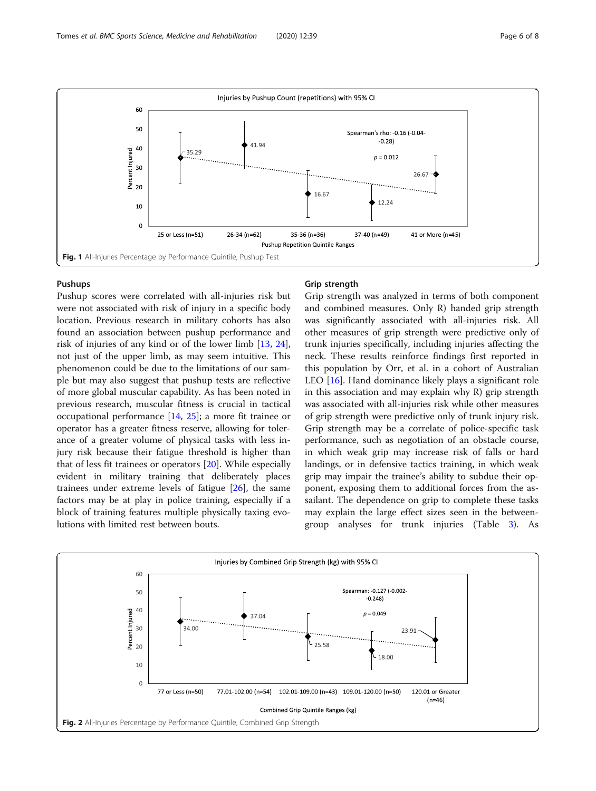<span id="page-5-0"></span>

#### Pushups

Pushup scores were correlated with all-injuries risk but were not associated with risk of injury in a specific body location. Previous research in military cohorts has also found an association between pushup performance and risk of injuries of any kind or of the lower limb [\[13,](#page-7-0) [24](#page-7-0)], not just of the upper limb, as may seem intuitive. This phenomenon could be due to the limitations of our sample but may also suggest that pushup tests are reflective of more global muscular capability. As has been noted in previous research, muscular fitness is crucial in tactical occupational performance [[14,](#page-7-0) [25](#page-7-0)]; a more fit trainee or operator has a greater fitness reserve, allowing for tolerance of a greater volume of physical tasks with less injury risk because their fatigue threshold is higher than that of less fit trainees or operators [\[20](#page-7-0)]. While especially evident in military training that deliberately places trainees under extreme levels of fatigue [[26\]](#page-7-0), the same factors may be at play in police training, especially if a block of training features multiple physically taxing evolutions with limited rest between bouts.

#### Grip strength

Grip strength was analyzed in terms of both component and combined measures. Only R) handed grip strength was significantly associated with all-injuries risk. All other measures of grip strength were predictive only of trunk injuries specifically, including injuries affecting the neck. These results reinforce findings first reported in this population by Orr, et al. in a cohort of Australian LEO [[16\]](#page-7-0). Hand dominance likely plays a significant role in this association and may explain why R) grip strength was associated with all-injuries risk while other measures of grip strength were predictive only of trunk injury risk. Grip strength may be a correlate of police-specific task performance, such as negotiation of an obstacle course, in which weak grip may increase risk of falls or hard landings, or in defensive tactics training, in which weak grip may impair the trainee's ability to subdue their opponent, exposing them to additional forces from the assailant. The dependence on grip to complete these tasks may explain the large effect sizes seen in the betweengroup analyses for trunk injuries (Table [3](#page-4-0)). As

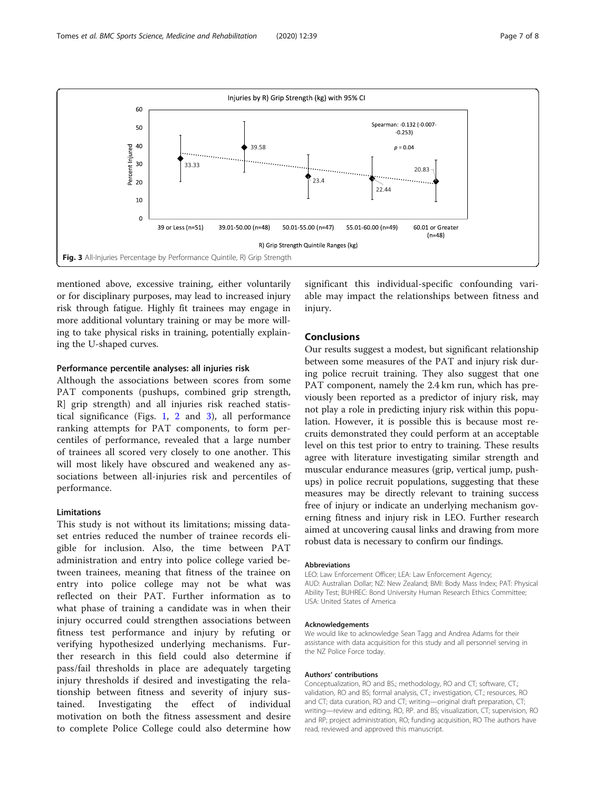<span id="page-6-0"></span>

mentioned above, excessive training, either voluntarily or for disciplinary purposes, may lead to increased injury risk through fatigue. Highly fit trainees may engage in more additional voluntary training or may be more willing to take physical risks in training, potentially explaining the U-shaped curves.

#### Performance percentile analyses: all injuries risk

Although the associations between scores from some PAT components (pushups, combined grip strength, R] grip strength) and all injuries risk reached statistical significance (Figs. [1,](#page-5-0) [2](#page-5-0) and 3), all performance ranking attempts for PAT components, to form percentiles of performance, revealed that a large number of trainees all scored very closely to one another. This will most likely have obscured and weakened any associations between all-injuries risk and percentiles of performance.

### Limitations

This study is not without its limitations; missing dataset entries reduced the number of trainee records eligible for inclusion. Also, the time between PAT administration and entry into police college varied between trainees, meaning that fitness of the trainee on entry into police college may not be what was reflected on their PAT. Further information as to what phase of training a candidate was in when their injury occurred could strengthen associations between fitness test performance and injury by refuting or verifying hypothesized underlying mechanisms. Further research in this field could also determine if pass/fail thresholds in place are adequately targeting injury thresholds if desired and investigating the relationship between fitness and severity of injury sustained. Investigating the effect of individual motivation on both the fitness assessment and desire to complete Police College could also determine how

significant this individual-specific confounding variable may impact the relationships between fitness and injury.

#### Conclusions

Our results suggest a modest, but significant relationship between some measures of the PAT and injury risk during police recruit training. They also suggest that one PAT component, namely the 2.4 km run, which has previously been reported as a predictor of injury risk, may not play a role in predicting injury risk within this population. However, it is possible this is because most recruits demonstrated they could perform at an acceptable level on this test prior to entry to training. These results agree with literature investigating similar strength and muscular endurance measures (grip, vertical jump, pushups) in police recruit populations, suggesting that these measures may be directly relevant to training success free of injury or indicate an underlying mechanism governing fitness and injury risk in LEO. Further research aimed at uncovering causal links and drawing from more robust data is necessary to confirm our findings.

#### **Abbreviations**

LEO: Law Enforcement Officer; LEA: Law Enforcement Agency; AUD: Australian Dollar; NZ: New Zealand; BMI: Body Mass Index; PAT: Physical Ability Test; BUHREC: Bond University Human Research Ethics Committee; USA: United States of America

#### Acknowledgements

We would like to acknowledge Sean Tagg and Andrea Adams for their assistance with data acquisition for this study and all personnel serving in the NZ Police Force today.

#### Authors' contributions

Conceptualization, RO and BS.; methodology, RO and CT; software, CT.; validation, RO and BS; formal analysis, CT.; investigation, CT.; resources, RO and CT; data curation, RO and CT; writing—original draft preparation, CT; writing—review and editing, RO, RP. and BS; visualization, CT; supervision, RO and RP; project administration, RO; funding acquisition, RO The authors have read, reviewed and approved this manuscript.